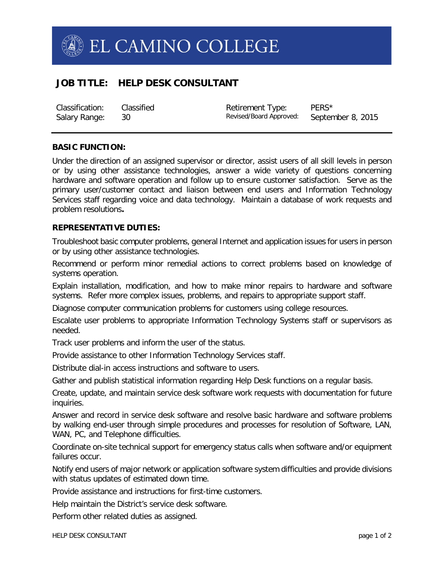

# **JOB TITLE: HELP DESK CONSULTANT**

Classification: Classified Retirement Type: PERS\*<br>
Salary Range: 30 Salary Revised/Board Approved: September 8, 2015 Salary Range: 30 30 Revised/Board Approved:

# **BASIC FUNCTION:**

Under the direction of an assigned supervisor or director, assist users of all skill levels in person or by using other assistance technologies, answer a wide variety of questions concerning hardware and software operation and follow up to ensure customer satisfaction. Serve as the primary user/customer contact and liaison between end users and Information Technology Services staff regarding voice and data technology. Maintain a database of work requests and problem resolutions**.**

# **REPRESENTATIVE DUTIES:**

Troubleshoot basic computer problems, general Internet and application issues for users in person or by using other assistance technologies.

Recommend or perform minor remedial actions to correct problems based on knowledge of systems operation.

Explain installation, modification, and how to make minor repairs to hardware and software systems. Refer more complex issues, problems, and repairs to appropriate support staff.

Diagnose computer communication problems for customers using college resources.

Escalate user problems to appropriate Information Technology Systems staff or supervisors as needed.

Track user problems and inform the user of the status.

Provide assistance to other Information Technology Services staff.

Distribute dial-in access instructions and software to users.

Gather and publish statistical information regarding Help Desk functions on a regular basis.

Create, update, and maintain service desk software work requests with documentation for future inquiries.

Answer and record in service desk software and resolve basic hardware and software problems by walking end-user through simple procedures and processes for resolution of Software, LAN, WAN, PC, and Telephone difficulties.

Coordinate on-site technical support for emergency status calls when software and/or equipment failures occur.

Notify end users of major network or application software system difficulties and provide divisions with status updates of estimated down time.

Provide assistance and instructions for first-time customers.

Help maintain the District's service desk software.

Perform other related duties as assigned.